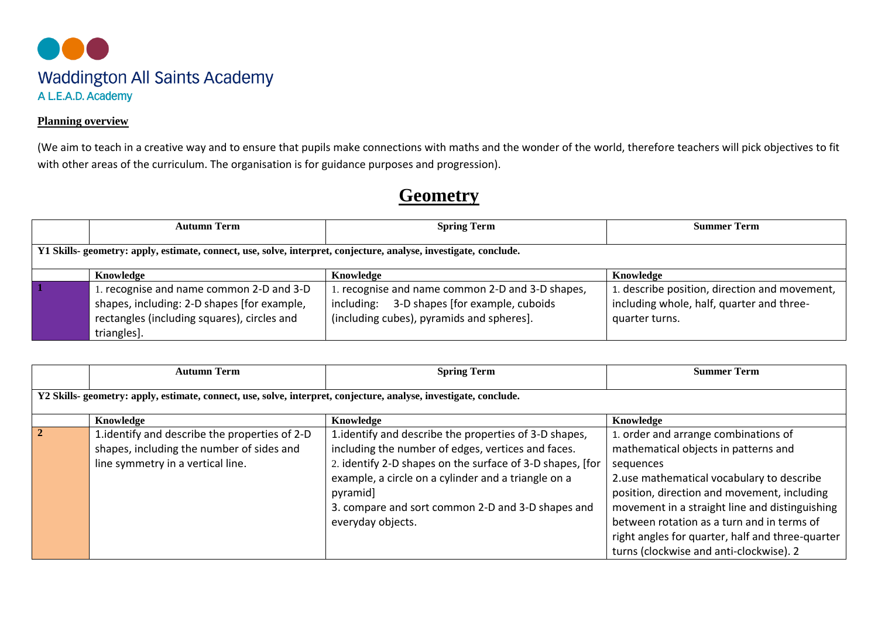

## **Planning overview**

(We aim to teach in a creative way and to ensure that pupils make connections with maths and the wonder of the world, therefore teachers will pick objectives to fit with other areas of the curriculum. The organisation is for guidance purposes and progression).

## **Geometry**

| <b>Autumn Term</b>                                                                                                                                 | <b>Spring Term</b>                                                                                                                               | <b>Summer Term</b>                                                                                           |  |
|----------------------------------------------------------------------------------------------------------------------------------------------------|--------------------------------------------------------------------------------------------------------------------------------------------------|--------------------------------------------------------------------------------------------------------------|--|
| Y1 Skills- geometry: apply, estimate, connect, use, solve, interpret, conjecture, analyse, investigate, conclude.                                  |                                                                                                                                                  |                                                                                                              |  |
| Knowledge                                                                                                                                          | Knowledge                                                                                                                                        | Knowledge                                                                                                    |  |
| recognise and name common 2-D and 3-D<br>shapes, including: 2-D shapes [for example,<br>rectangles (including squares), circles and<br>triangles]. | 1. recognise and name common 2-D and 3-D shapes,<br>3-D shapes [for example, cuboids]<br>including:<br>(including cubes), pyramids and spheres]. | 1. describe position, direction and movement,<br>including whole, half, quarter and three-<br>quarter turns. |  |

|                                                                                                                   | <b>Autumn Term</b>                                                                                                               | <b>Spring Term</b>                                                                                                                                                                                                                                                                                                     | <b>Summer Term</b>                                                                                                                                                                                                                                                                                                                                                                   |
|-------------------------------------------------------------------------------------------------------------------|----------------------------------------------------------------------------------------------------------------------------------|------------------------------------------------------------------------------------------------------------------------------------------------------------------------------------------------------------------------------------------------------------------------------------------------------------------------|--------------------------------------------------------------------------------------------------------------------------------------------------------------------------------------------------------------------------------------------------------------------------------------------------------------------------------------------------------------------------------------|
| Y2 Skills- geometry: apply, estimate, connect, use, solve, interpret, conjecture, analyse, investigate, conclude. |                                                                                                                                  |                                                                                                                                                                                                                                                                                                                        |                                                                                                                                                                                                                                                                                                                                                                                      |
|                                                                                                                   | Knowledge                                                                                                                        | Knowledge                                                                                                                                                                                                                                                                                                              | Knowledge                                                                                                                                                                                                                                                                                                                                                                            |
| $\overline{2}$                                                                                                    | 1. identify and describe the properties of 2-D<br>shapes, including the number of sides and<br>line symmetry in a vertical line. | 1. identify and describe the properties of 3-D shapes,<br>including the number of edges, vertices and faces.<br>2. identify 2-D shapes on the surface of 3-D shapes, [for<br>example, a circle on a cylinder and a triangle on a<br>pyramid]<br>3. compare and sort common 2-D and 3-D shapes and<br>everyday objects. | 1. order and arrange combinations of<br>mathematical objects in patterns and<br>sequences<br>2.use mathematical vocabulary to describe<br>position, direction and movement, including<br>movement in a straight line and distinguishing<br>between rotation as a turn and in terms of<br>right angles for quarter, half and three-quarter<br>turns (clockwise and anti-clockwise). 2 |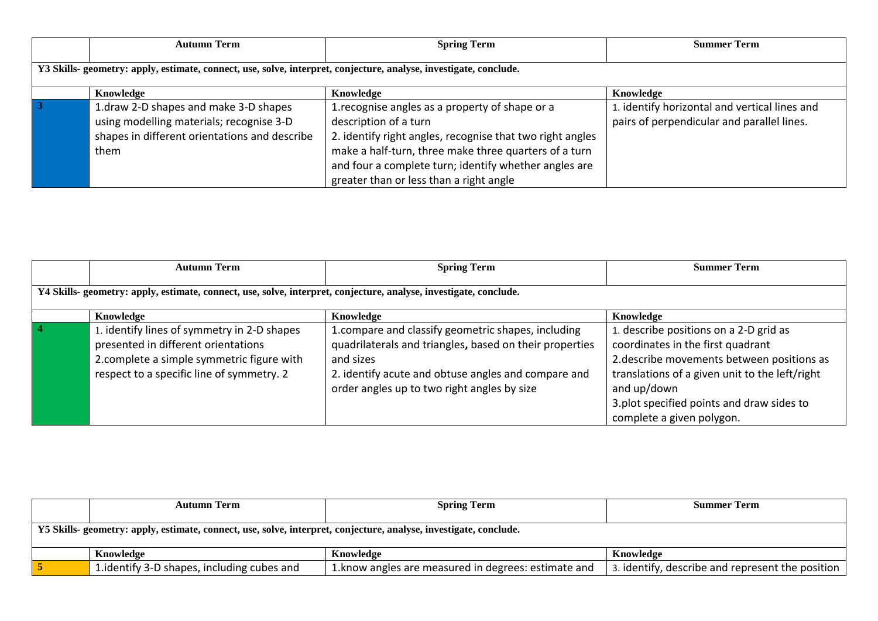|                                                                                                                   | <b>Autumn Term</b>                                                                                                                         | <b>Spring Term</b>                                                                                                                                                                                                                                                                                 | <b>Summer Term</b>                                                                          |
|-------------------------------------------------------------------------------------------------------------------|--------------------------------------------------------------------------------------------------------------------------------------------|----------------------------------------------------------------------------------------------------------------------------------------------------------------------------------------------------------------------------------------------------------------------------------------------------|---------------------------------------------------------------------------------------------|
| Y3 Skills- geometry: apply, estimate, connect, use, solve, interpret, conjecture, analyse, investigate, conclude. |                                                                                                                                            |                                                                                                                                                                                                                                                                                                    |                                                                                             |
|                                                                                                                   | Knowledge                                                                                                                                  | Knowledge                                                                                                                                                                                                                                                                                          | Knowledge                                                                                   |
|                                                                                                                   | 1.draw 2-D shapes and make 3-D shapes<br>using modelling materials; recognise 3-D<br>shapes in different orientations and describe<br>them | 1. recognise angles as a property of shape or a<br>description of a turn<br>2. identify right angles, recognise that two right angles<br>make a half-turn, three make three quarters of a turn<br>and four a complete turn; identify whether angles are<br>greater than or less than a right angle | 1. identify horizontal and vertical lines and<br>pairs of perpendicular and parallel lines. |

|                                                                                                                   | <b>Autumn Term</b>                                                                                                                                                           | <b>Spring Term</b>                                                                                                                                                                                                               | <b>Summer Term</b>                                                                                                                                                                                                                                                   |  |
|-------------------------------------------------------------------------------------------------------------------|------------------------------------------------------------------------------------------------------------------------------------------------------------------------------|----------------------------------------------------------------------------------------------------------------------------------------------------------------------------------------------------------------------------------|----------------------------------------------------------------------------------------------------------------------------------------------------------------------------------------------------------------------------------------------------------------------|--|
| Y4 Skills- geometry: apply, estimate, connect, use, solve, interpret, conjecture, analyse, investigate, conclude. |                                                                                                                                                                              |                                                                                                                                                                                                                                  |                                                                                                                                                                                                                                                                      |  |
|                                                                                                                   | Knowledge                                                                                                                                                                    | Knowledge                                                                                                                                                                                                                        | Knowledge                                                                                                                                                                                                                                                            |  |
|                                                                                                                   | 1. identify lines of symmetry in 2-D shapes<br>presented in different orientations<br>2.complete a simple symmetric figure with<br>respect to a specific line of symmetry. 2 | 1.compare and classify geometric shapes, including<br>quadrilaterals and triangles, based on their properties<br>and sizes<br>2. identify acute and obtuse angles and compare and<br>order angles up to two right angles by size | 1. describe positions on a 2-D grid as<br>coordinates in the first quadrant<br>2. describe movements between positions as<br>translations of a given unit to the left/right<br>and up/down<br>3.plot specified points and draw sides to<br>complete a given polygon. |  |

|                                                                                                                   | <b>Autumn Term</b>                          | <b>Spring Term</b>                                   | <b>Summer Term</b>                               |  |
|-------------------------------------------------------------------------------------------------------------------|---------------------------------------------|------------------------------------------------------|--------------------------------------------------|--|
|                                                                                                                   |                                             |                                                      |                                                  |  |
| Y5 Skills- geometry: apply, estimate, connect, use, solve, interpret, conjecture, analyse, investigate, conclude. |                                             |                                                      |                                                  |  |
|                                                                                                                   |                                             |                                                      |                                                  |  |
|                                                                                                                   | Knowledge                                   | Knowledge                                            | Knowledge                                        |  |
|                                                                                                                   | 1. identify 3-D shapes, including cubes and | 1. know angles are measured in degrees: estimate and | 3. identify, describe and represent the position |  |